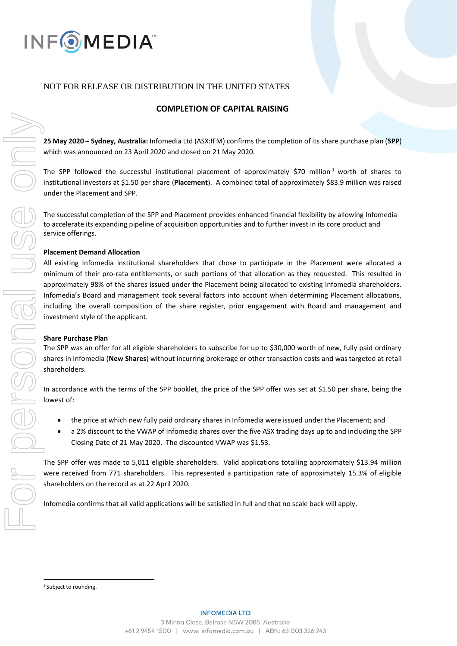

# NOT FOR RELEASE OR DISTRIBUTION IN THE UNITED STATES

## **COMPLETION OF CAPITAL RAISING**

**25 May 2020 – Sydney, Australia:** Infomedia Ltd (ASX:IFM) confirms the completion of its share purchase plan (**SPP**) which was announced on 23 April 2020 and closed on 21 May 2020.

The SPP followed the successful institutional placement of approximately \$70 million<sup>1</sup> worth of shares to institutional investors at \$1.50 per share (**Placement**). A combined total of approximately \$83.9 million was raised under the Placement and SPP.

The successful completion of the SPP and Placement provides enhanced financial flexibility by allowing Infomedia to accelerate its expanding pipeline of acquisition opportunities and to further invest in its core product and service offerings.

### **Placement Demand Allocation**

All existing Infomedia institutional shareholders that chose to participate in the Placement were allocated a minimum of their pro-rata entitlements, or such portions of that allocation as they requested. This resulted in approximately 98% of the shares issued under the Placement being allocated to existing Infomedia shareholders. Infomedia's Board and management took several factors into account when determining Placement allocations, including the overall composition of the share register, prior engagement with Board and management and investment style of the applicant.

#### **Share Purchase Plan**

The SPP was an offer for all eligible shareholders to subscribe for up to \$30,000 worth of new, fully paid ordinary shares in Infomedia (**New Shares**) without incurring brokerage or other transaction costs and was targeted at retail shareholders.

In accordance with the terms of the SPP booklet, the price of the SPP offer was set at \$1.50 per share, being the lowest of:

- the price at which new fully paid ordinary shares in Infomedia were issued under the Placement; and
- a 2% discount to the VWAP of Infomedia shares over the five ASX trading days up to and including the SPP Closing Date of 21 May 2020. The discounted VWAP was \$1.53.

The SPP offer was made to 5,011 eligible shareholders. Valid applications totalling approximately \$13.94 million were received from 771 shareholders. This represented a participation rate of approximately 15.3% of eligible shareholders on the record as at 22 April 2020.

Infomedia confirms that all valid applications will be satisfied in full and that no scale back will apply.

<sup>&</sup>lt;sup>1</sup> Subject to rounding.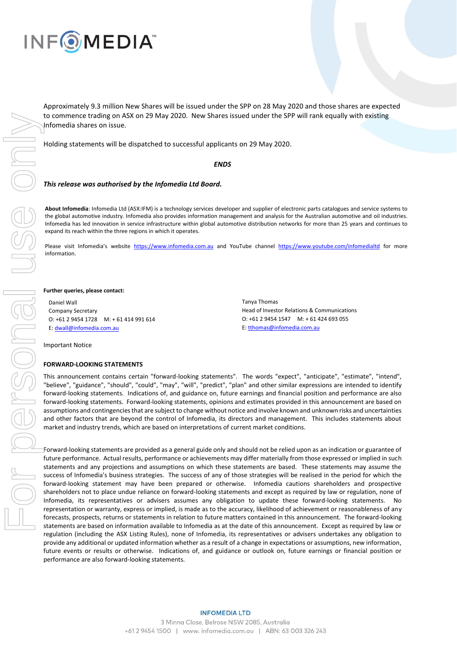

Approximately 9.3 million New Shares will be issued under the SPP on 28 May 2020 and those shares are expected to commence trading on ASX on 29 May 2020. New Shares issued under the SPP will rank equally with existing Infomedia shares on issue.

Holding statements will be dispatched to successful applicants on 29 May 2020.

#### *ENDS*

#### *This release was authorised by the Infomedia Ltd Board.*

**About Infomedia**: Infomedia Ltd (ASX:IFM) is a technology services developer and supplier of electronic parts catalogues and service systems to the global automotive industry. Infomedia also provides information management and analysis for the Australian automotive and oil industries. Infomedia has led innovation in service infrastructure within global automotive distribution networks for more than 25 years and continues to expand its reach within the three regions in which it operates.

Please visit Infomedia's website [https://www.infomedia.com.au](https://www.infomedia.com.au/) and YouTube channel <https://www.youtube.com/infomedialtd> for more information.

#### **Further queries, please contact:**

Daniel Wall Company Secretary O: +61 2 9454 1728 M: + 61 414 991 614 E[: dwall@infomedia.com.au](mailto:dwall@infomedia.com.au)

Tanya Thomas Head of Investor Relations & Communications O: +61 2 9454 1547 M: + 61 424 693 055 E[: tthomas@infomedia.com.au](mailto:tthomas@infomedia.com.au)

Important Notice

#### **FORWARD-LOOKING STATEMENTS**

This announcement contains certain "forward-looking statements". The words "expect", "anticipate", "estimate", "intend", "believe", "guidance", "should", "could", "may", "will", "predict", "plan" and other similar expressions are intended to identify forward-looking statements. Indications of, and guidance on, future earnings and financial position and performance are also forward-looking statements. Forward-looking statements, opinions and estimates provided in this announcement are based on assumptions and contingencies that are subject to change without notice and involve known and unknown risks and uncertainties and other factors that are beyond the control of Infomedia, its directors and management. This includes statements about market and industry trends, which are based on interpretations of current market conditions.

Forward-looking statements are provided as a general guide only and should not be relied upon as an indication or guarantee of future performance. Actual results, performance or achievements may differ materially from those expressed or implied in such statements and any projections and assumptions on which these statements are based. These statements may assume the success of Infomedia's business strategies. The success of any of those strategies will be realised in the period for which the forward-looking statement may have been prepared or otherwise. Infomedia cautions shareholders and prospective shareholders not to place undue reliance on forward-looking statements and except as required by law or regulation, none of Infomedia, its representatives or advisers assumes any obligation to update these forward-looking statements. No representation or warranty, express or implied, is made as to the accuracy, likelihood of achievement or reasonableness of any forecasts, prospects, returns or statements in relation to future matters contained in this announcement. The forward-looking statements are based on information available to Infomedia as at the date of this announcement. Except as required by law or regulation (including the ASX Listing Rules), none of Infomedia, its representatives or advisers undertakes any obligation to provide any additional or updated information whether as a result of a change in expectations or assumptions, new information, future events or results or otherwise. Indications of, and guidance or outlook on, future earnings or financial position or performance are also forward-looking statements.